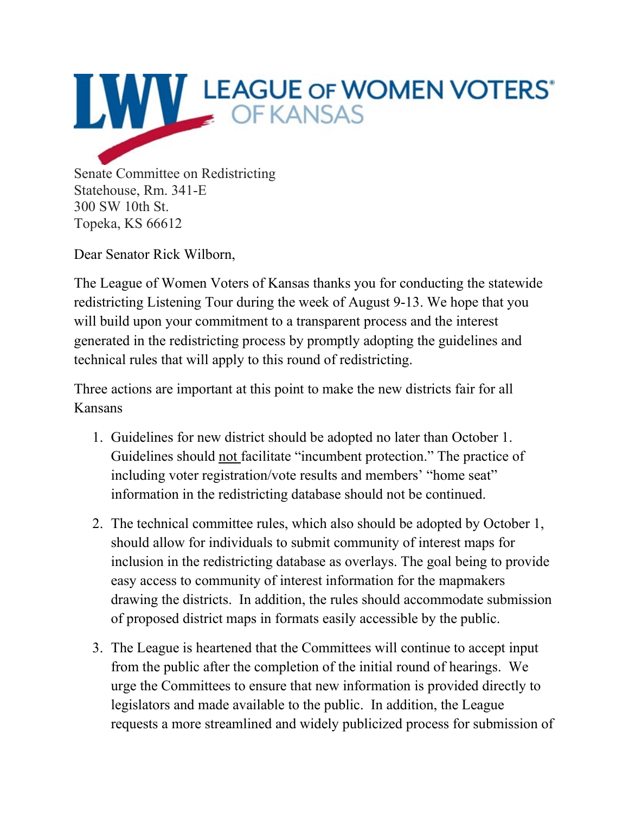

Dear Senator Rick Wilborn,

The League of Women Voters of Kansas thanks you for conducting the statewide redistricting Listening Tour during the week of August 9-13. We hope that you will build upon your commitment to a transparent process and the interest generated in the redistricting process by promptly adopting the guidelines and technical rules that will apply to this round of redistricting.

Three actions are important at this point to make the new districts fair for all Kansans

- 1. Guidelines for new district should be adopted no later than October 1. Guidelines should not facilitate "incumbent protection." The practice of including voter registration/vote results and members' "home seat" information in the redistricting database should not be continued.
- 2. The technical committee rules, which also should be adopted by October 1, should allow for individuals to submit community of interest maps for inclusion in the redistricting database as overlays. The goal being to provide easy access to community of interest information for the mapmakers drawing the districts. In addition, the rules should accommodate submission of proposed district maps in formats easily accessible by the public.
- 3. The League is heartened that the Committees will continue to accept input from the public after the completion of the initial round of hearings. We urge the Committees to ensure that new information is provided directly to legislators and made available to the public. In addition, the League requests a more streamlined and widely publicized process for submission of